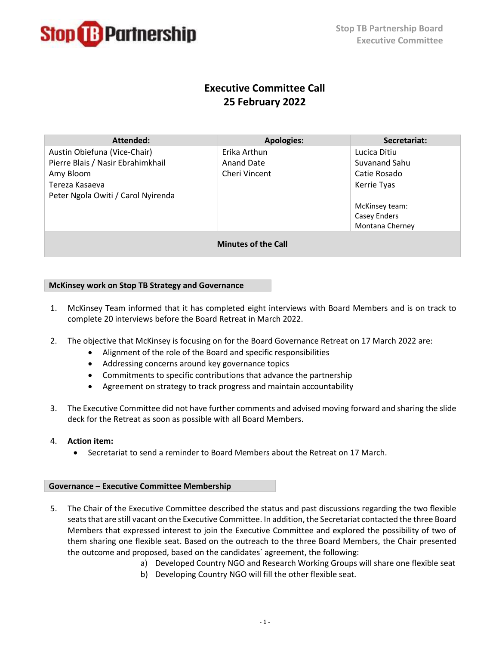

# **Executive Committee Call 25 February 2022**

| Attended:                          | <b>Apologies:</b> | Secretariat:    |
|------------------------------------|-------------------|-----------------|
| Austin Obiefuna (Vice-Chair)       | Erika Arthun      | Lucica Ditiu    |
| Pierre Blais / Nasir Ebrahimkhail  | <b>Anand Date</b> | Suvanand Sahu   |
| Amy Bloom                          | Cheri Vincent     | Catie Rosado    |
| Tereza Kasaeva                     |                   | Kerrie Tyas     |
| Peter Ngola Owiti / Carol Nyirenda |                   |                 |
|                                    |                   | McKinsey team:  |
|                                    |                   | Casey Enders    |
|                                    |                   | Montana Cherney |
| <b>Minutes of the Call</b>         |                   |                 |

## **McKinsey work on Stop TB Strategy and Governance**

- 1. McKinsey Team informed that it has completed eight interviews with Board Members and is on track to complete 20 interviews before the Board Retreat in March 2022.
- 2. The objective that McKinsey is focusing on for the Board Governance Retreat on 17 March 2022 are:
	- Alignment of the role of the Board and specific responsibilities
	- Addressing concerns around key governance topics
	- Commitments to specific contributions that advance the partnership
	- Agreement on strategy to track progress and maintain accountability
- 3. The Executive Committee did not have further comments and advised moving forward and sharing the slide deck for the Retreat as soon as possible with all Board Members.
- 4. **Action item:**
	- Secretariat to send a reminder to Board Members about the Retreat on 17 March.

## **Governance – Executive Committee Membership**

- 5. The Chair of the Executive Committee described the status and past discussions regarding the two flexible seatsthat are still vacant on the Executive Committee. In addition, the Secretariat contacted the three Board Members that expressed interest to join the Executive Committee and explored the possibility of two of them sharing one flexible seat. Based on the outreach to the three Board Members, the Chair presented the outcome and proposed, based on the candidates´ agreement, the following:
	- a) Developed Country NGO and Research Working Groups will share one flexible seat
	- b) Developing Country NGO will fill the other flexible seat.